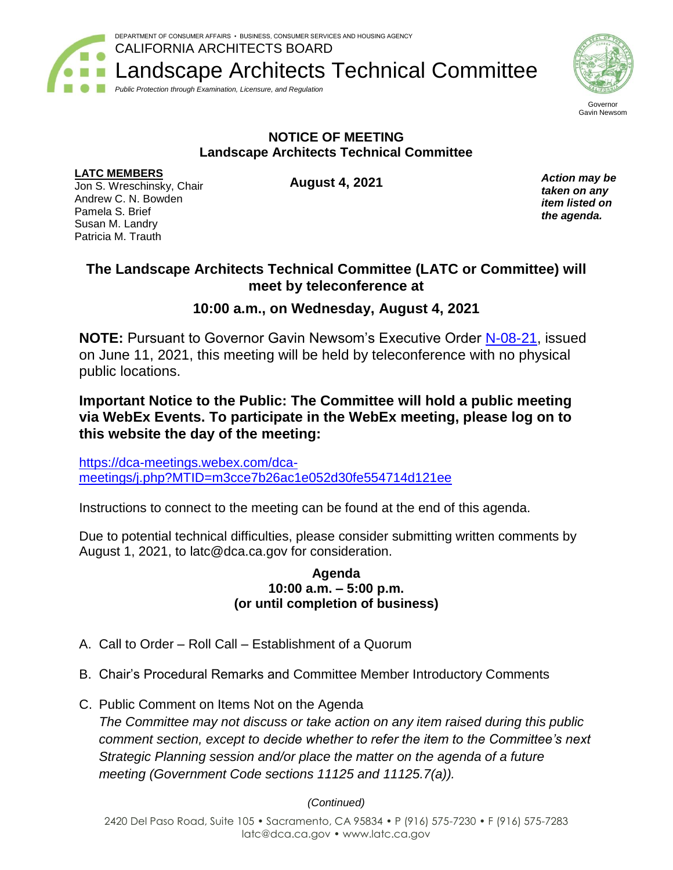CALIFORNIA ARCHITECTS BOARD Landscape Architects Technical Committee



DEPARTMENT OF CONSUMER AFFAIRS • BUSINESS, CONSUMER SERVICES AND HOUSING AGENCY



Gavin Newsom

## **NOTICE OF MEETING Landscape Architects Technical Committee**

### **LATC MEMBERS**

Jon S. Wreschinsky, Chair Andrew C. N. Bowden Pamela S. Brief Susan M. Landry Patricia M. Trauth

**August 4, 2021**

*Action may be taken on any item listed on the agenda.*

# **The Landscape Architects Technical Committee (LATC or Committee) will meet by teleconference at**

# **10:00 a.m., on Wednesday, August 4, 2021**

**NOTE:** Pursuant to Governor Gavin Newsom's Executive Order [N-08-21,](https://www.gov.ca.gov/wp-content/uploads/2021/06/6.11.21-EO-N-08-21-signed.pdf) issued on June 11, 2021, this meeting will be held by teleconference with no physical public locations.

## **Important Notice to the Public: The Committee will hold a public meeting via WebEx Events. To participate in the WebEx meeting, please log on to this website the day of the meeting:**

[https://dca-meetings.webex.com/dca](https://dca-meetings.webex.com/dca-meetings/j.php?MTID=m3cce7b26ac1e052d30fe554714d121ee)[meetings/j.php?MTID=m3cce7b26ac1e052d30fe554714d121ee](https://dca-meetings.webex.com/dca-meetings/j.php?MTID=m3cce7b26ac1e052d30fe554714d121ee)

Instructions to connect to the meeting can be found at the end of this agenda.

Due to potential technical difficulties, please consider submitting written comments by August 1, 2021, to latc@dca.ca.gov for consideration.

#### **Agenda 10:00 a.m. – 5:00 p.m. (or until completion of business)**

- A. Call to Order Roll Call Establishment of a Quorum
- B. Chair's Procedural Remarks and Committee Member Introductory Comments
- C. Public Comment on Items Not on the Agenda *The Committee may not discuss or take action on any item raised during this public comment section, except to decide whether to refer the item to the Committee's next Strategic Planning session and/or place the matter on the agenda of a future meeting (Government Code sections 11125 and 11125.7(a)).*

## *(Continued)*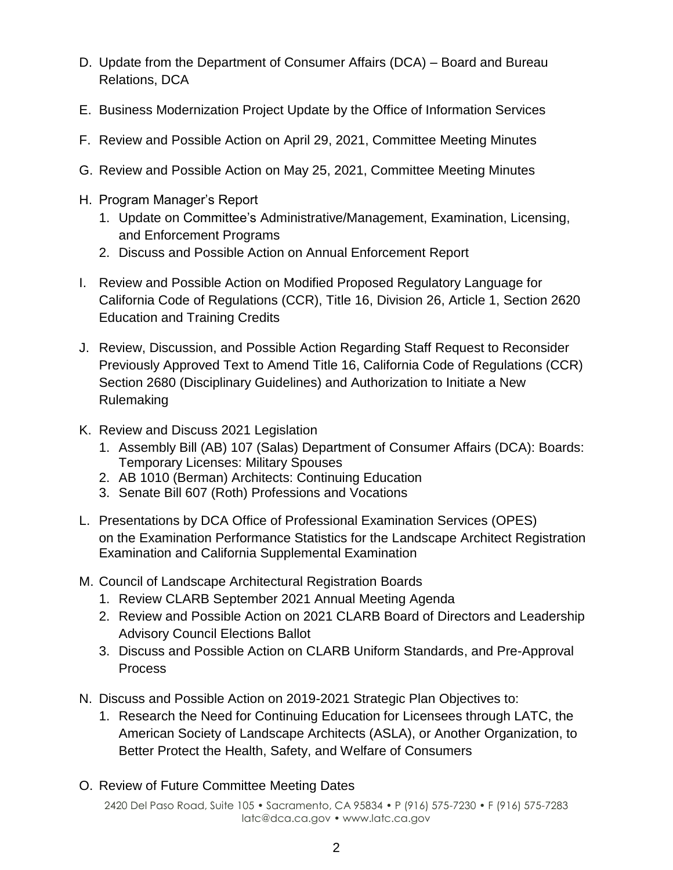- D. Update from the Department of Consumer Affairs (DCA) Board and Bureau Relations, DCA
- E. Business Modernization Project Update by the Office of Information Services
- F. Review and Possible Action on April 29, 2021, Committee Meeting Minutes
- G. Review and Possible Action on May 25, 2021, Committee Meeting Minutes
- H. Program Manager's Report
	- 1. Update on Committee's Administrative/Management, Examination, Licensing, and Enforcement Programs
	- 2. Discuss and Possible Action on Annual Enforcement Report
- I. Review and Possible Action on Modified Proposed Regulatory Language for California Code of Regulations (CCR), Title 16, Division 26, Article 1, Section 2620 Education and Training Credits
- J. Review, Discussion, and Possible Action Regarding Staff Request to Reconsider Previously Approved Text to Amend Title 16, California Code of Regulations (CCR) Section 2680 (Disciplinary Guidelines) and Authorization to Initiate a New Rulemaking
- K. Review and Discuss 2021 Legislation
	- 1. Assembly Bill (AB) 107 (Salas) Department of Consumer Affairs (DCA): Boards: Temporary Licenses: Military Spouses
	- 2. AB 1010 (Berman) Architects: Continuing Education
	- 3. Senate Bill 607 (Roth) Professions and Vocations
- L. Presentations by DCA Office of Professional Examination Services (OPES) on the Examination Performance Statistics for the Landscape Architect Registration Examination and California Supplemental Examination
- M. Council of Landscape Architectural Registration Boards
	- 1. Review CLARB September 2021 Annual Meeting Agenda
	- 2. Review and Possible Action on 2021 CLARB Board of Directors and Leadership Advisory Council Elections Ballot
	- 3. Discuss and Possible Action on CLARB Uniform Standards, and Pre-Approval Process
- N. Discuss and Possible Action on 2019-2021 Strategic Plan Objectives to:
	- 1. Research the Need for Continuing Education for Licensees through LATC, the American Society of Landscape Architects (ASLA), or Another Organization, to Better Protect the Health, Safety, and Welfare of Consumers
- O. Review of Future Committee Meeting Dates

2420 Del Paso Road, Suite 105 • Sacramento, CA 95834 • P (916) 575-7230 • F (916) 575-7283 latc@dca.ca.gov • www.latc.ca.gov